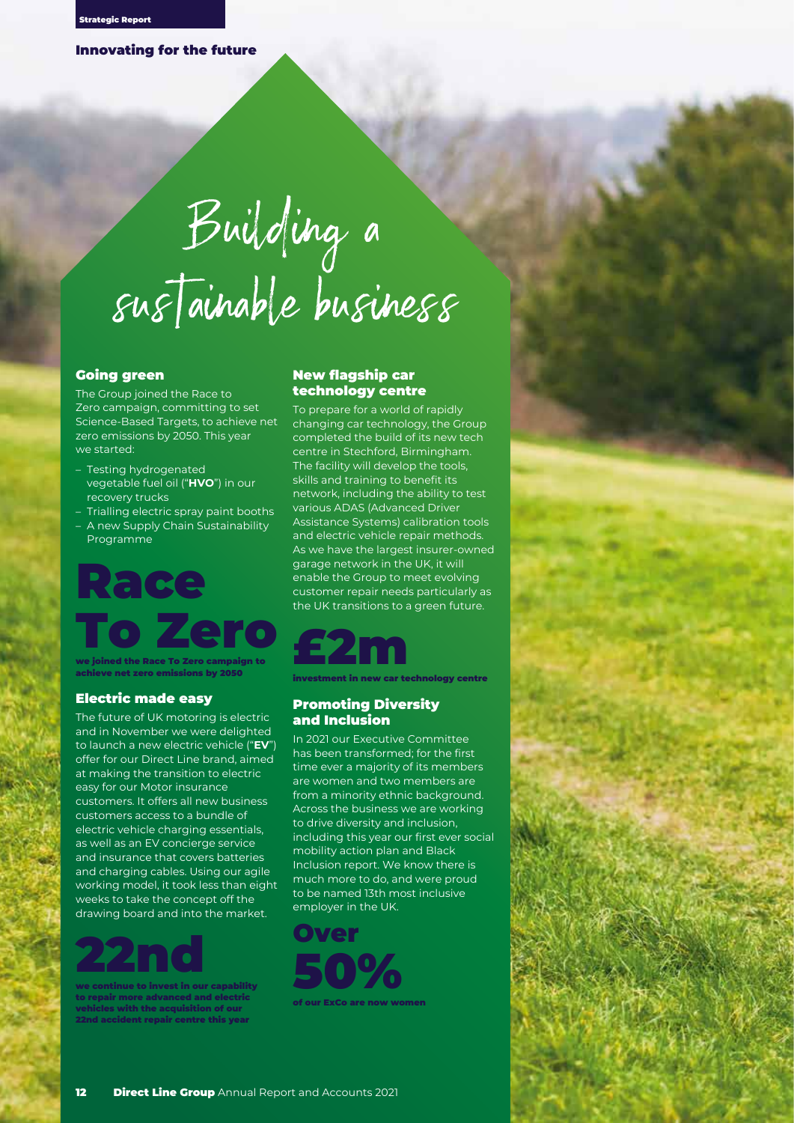## Innovating for the future

Building a<br>sustainable business

### Going green

The Group joined the Race to Zero campaign, committing to set Science-Based Targets, to achieve net zero emissions by 2050. This year we started:

- Testing hydrogenated vegetable fuel oil ("**HVO**") in our recovery trucks
- Trialling electric spray paint booths – A new Supply Chain Sustainability Programme

# Race To Zero

we joined the Race To Zero campaign to achieve net zero emissions by 2050

## Electric made easy

The future of UK motoring is electric and in November we were delighted to launch a new electric vehicle ("**EV**") offer for our Direct Line brand, aimed at making the transition to electric easy for our Motor insurance customers. It offers all new business customers access to a bundle of electric vehicle charging essentials, as well as an EV concierge service and insurance that covers batteries and charging cables. Using our agile working model, it took less than eight weeks to take the concept off the drawing board and into the market.



 $\mathbf s$  intinue to invest in our capability to repair more advanced and electric vehicles with the acquisition of our 22nd accident repair centre this year

#### New flagship car technology centre

To prepare for a world of rapidly changing car technology, the Group completed the build of its new tech centre in Stechford, Birmingham. The facility will develop the tools, skills and training to benefit its network, including the ability to test various ADAS (Advanced Driver Assistance Systems) calibration tools and electric vehicle repair methods. As we have the largest insurer-owned garage network in the UK, it will enable the Group to meet evolving customer repair needs particularly as the UK transitions to a green future.



investment in new car technology centre

#### Promoting Diversity and Inclusion

In 2021 our Executive Committee has been transformed; for the first time ever a majority of its members are women and two members are from a minority ethnic background. Across the business we are working to drive diversity and inclusion, including this year our first ever social mobility action plan and Black Inclusion report. We know there is much more to do, and were proud to be named 13th most inclusive employer in the UK.